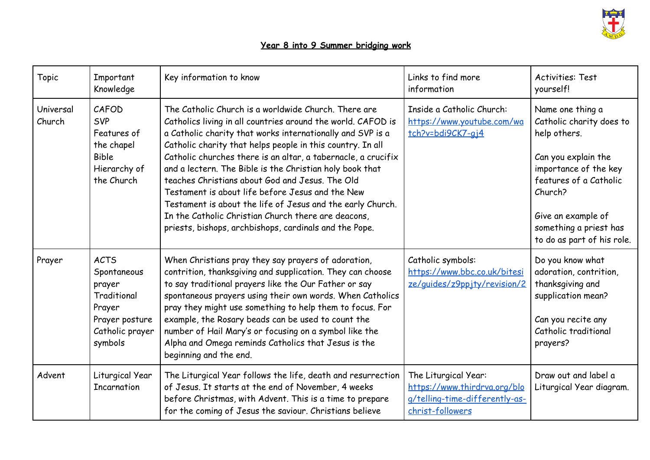

## **Year 8 into 9 Summer bridging work**

| <b>Topic</b>        | Important<br>Knowledge                                                                                        | Key information to know                                                                                                                                                                                                                                                                                                                                                                                                                                                                                                                                                                                                                                             | Links to find more<br>information                                                                          | <b>Activities: Test</b><br>yourself!                                                                                                                                                                                            |
|---------------------|---------------------------------------------------------------------------------------------------------------|---------------------------------------------------------------------------------------------------------------------------------------------------------------------------------------------------------------------------------------------------------------------------------------------------------------------------------------------------------------------------------------------------------------------------------------------------------------------------------------------------------------------------------------------------------------------------------------------------------------------------------------------------------------------|------------------------------------------------------------------------------------------------------------|---------------------------------------------------------------------------------------------------------------------------------------------------------------------------------------------------------------------------------|
| Universal<br>Church | CAFOD<br><b>SVP</b><br>Features of<br>the chapel<br><b>Bible</b><br>Hierarchy of<br>the Church                | The Catholic Church is a worldwide Church. There are<br>Catholics living in all countries around the world. CAFOD is<br>a Catholic charity that works internationally and SVP is a<br>Catholic charity that helps people in this country. In all<br>Catholic churches there is an altar, a tabernacle, a crucifix<br>and a lectern. The Bible is the Christian holy book that<br>teaches Christians about God and Jesus. The Old<br>Testament is about life before Jesus and the New<br>Testament is about the life of Jesus and the early Church.<br>In the Catholic Christian Church there are deacons,<br>priests, bishops, archbishops, cardinals and the Pope. | Inside a Catholic Church:<br>https://www.youtube.com/wa<br>tch?v=bdi9CK7-gj4                               | Name one thing a<br>Catholic charity does to<br>help others.<br>Can you explain the<br>importance of the key<br>features of a Catholic<br>Church?<br>Give an example of<br>something a priest has<br>to do as part of his role. |
| Prayer              | <b>ACTS</b><br>Spontaneous<br>prayer<br>Traditional<br>Prayer<br>Prayer posture<br>Catholic prayer<br>symbols | When Christians pray they say prayers of adoration,<br>contrition, thanksgiving and supplication. They can choose<br>to say traditional prayers like the Our Father or say<br>spontaneous prayers using their own words. When Catholics<br>pray they might use something to help them to focus. For<br>example, the Rosary beads can be used to count the<br>number of Hail Mary's or focusing on a symbol like the<br>Alpha and Omega reminds Catholics that Jesus is the<br>beginning and the end.                                                                                                                                                                | Catholic symbols:<br>https://www.bbc.co.uk/bitesi<br>ze/guides/z9ppjty/revision/2                          | Do you know what<br>adoration, contrition,<br>thanksgiving and<br>supplication mean?<br>Can you recite any<br>Catholic traditional<br>prayers?                                                                                  |
| Advent              | Liturgical Year<br>Incarnation                                                                                | The Liturgical Year follows the life, death and resurrection<br>of Jesus. It starts at the end of November, 4 weeks<br>before Christmas, with Advent. This is a time to prepare<br>for the coming of Jesus the saviour. Christians believe                                                                                                                                                                                                                                                                                                                                                                                                                          | The Liturgical Year:<br>https://www.thirdrva.org/blo<br>g/telling-time-differently-as-<br>christ-followers | Draw out and label a<br>Liturgical Year diagram.                                                                                                                                                                                |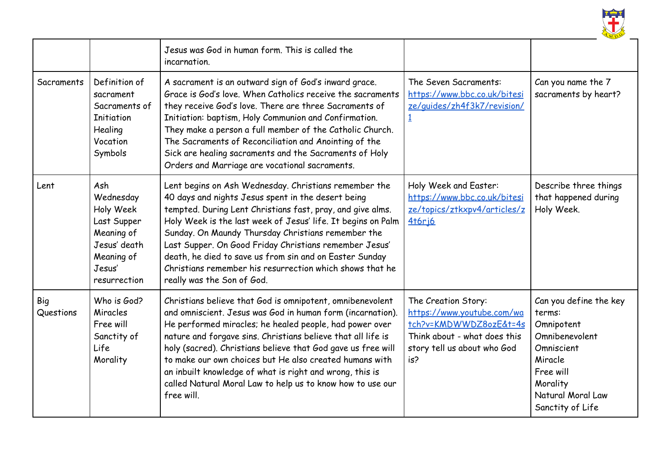

|                  |                                                                                                                    | Jesus was God in human form. This is called the<br>incarnation.                                                                                                                                                                                                                                                                                                                                                                                                                                                       |                                                                                                                                                   |                                                                                                                                                             |
|------------------|--------------------------------------------------------------------------------------------------------------------|-----------------------------------------------------------------------------------------------------------------------------------------------------------------------------------------------------------------------------------------------------------------------------------------------------------------------------------------------------------------------------------------------------------------------------------------------------------------------------------------------------------------------|---------------------------------------------------------------------------------------------------------------------------------------------------|-------------------------------------------------------------------------------------------------------------------------------------------------------------|
| Sacraments       | Definition of<br>sacrament<br>Sacraments of<br><b>Initiation</b><br>Healing<br>Vocation<br>Symbols                 | A sacrament is an outward sign of God's inward grace.<br>Grace is God's love. When Catholics receive the sacraments<br>they receive God's love. There are three Sacraments of<br>Initiation: baptism, Holy Communion and Confirmation.<br>They make a person a full member of the Catholic Church.<br>The Sacraments of Reconciliation and Anointing of the<br>Sick are healing sacraments and the Sacraments of Holy<br>Orders and Marriage are vocational sacraments.                                               | The Seven Sacraments:<br>https://www.bbc.co.uk/bitesi<br>ze/guides/zh4f3k7/revision/                                                              | Can you name the 7<br>sacraments by heart?                                                                                                                  |
| Lent             | Ash<br>Wednesday<br>Holy Week<br>Last Supper<br>Meaning of<br>Jesus' death<br>Meaning of<br>Jesus'<br>resurrection | Lent begins on Ash Wednesday. Christians remember the<br>40 days and nights Jesus spent in the desert being<br>tempted. During Lent Christians fast, pray, and give alms.<br>Holy Week is the last week of Jesus' life. It begins on Palm<br>Sunday. On Maundy Thursday Christians remember the<br>Last Supper. On Good Friday Christians remember Jesus'<br>death, he died to save us from sin and on Easter Sunday<br>Christians remember his resurrection which shows that he<br>really was the Son of God.        | Holy Week and Easter:<br>https://www.bbc.co.uk/bitesi<br>ze/topics/ztkxpv4/articles/z<br><b>4t6ri6</b>                                            | Describe three things<br>that happened during<br>Holy Week.                                                                                                 |
| Big<br>Questions | Who is God?<br>Miracles<br>Free will<br>Sanctity of<br>Life<br>Morality                                            | Christians believe that God is omnipotent, omnibenevolent<br>and omniscient. Jesus was God in human form (incarnation).<br>He performed miracles; he healed people, had power over<br>nature and forgave sins. Christians believe that all life is<br>holy (sacred). Christians believe that God gave us free will<br>to make our own choices but He also created humans with<br>an inbuilt knowledge of what is right and wrong, this is<br>called Natural Moral Law to help us to know how to use our<br>free will. | The Creation Story:<br>https://www.youtube.com/wa<br>tch?v=KMDWWDZ8ozE&t=4s<br>Think about - what does this<br>story tell us about who God<br>is? | Can you define the key<br>terms:<br>Omnipotent<br>Omnibenevolent<br>Omniscient<br>Miracle<br>Free will<br>Morality<br>Natural Moral Law<br>Sanctity of Life |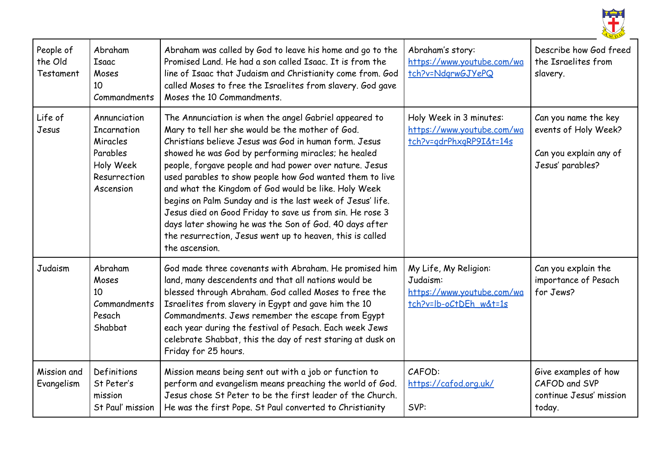

| People of<br>the Old<br>Testament | Abraham<br>Isaac<br>Moses<br>10<br>Commandments                                                      | Abraham was called by God to leave his home and go to the<br>Promised Land. He had a son called Isaac. It is from the<br>line of Isaac that Judaism and Christianity come from. God<br>called Moses to free the Israelites from slavery. God gave<br>Moses the 10 Commandments.                                                                                                                                                                                                                                                                                                                                                                                               | Abraham's story:<br>https://www.youtube.com/wa<br>tch?v=NdgrwGJYePQ                       | Describe how God freed<br>the Israelites from<br>slavery.                                  |
|-----------------------------------|------------------------------------------------------------------------------------------------------|-------------------------------------------------------------------------------------------------------------------------------------------------------------------------------------------------------------------------------------------------------------------------------------------------------------------------------------------------------------------------------------------------------------------------------------------------------------------------------------------------------------------------------------------------------------------------------------------------------------------------------------------------------------------------------|-------------------------------------------------------------------------------------------|--------------------------------------------------------------------------------------------|
| Life of<br>Jesus                  | Annunciation<br><b>Incarnation</b><br>Miracles<br>Parables<br>Holy Week<br>Resurrection<br>Ascension | The Annunciation is when the angel Gabriel appeared to<br>Mary to tell her she would be the mother of God.<br>Christians believe Jesus was God in human form. Jesus<br>showed he was God by performing miracles; he healed<br>people, forgave people and had power over nature. Jesus<br>used parables to show people how God wanted them to live<br>and what the Kingdom of God would be like. Holy Week<br>begins on Palm Sunday and is the last week of Jesus' life.<br>Jesus died on Good Friday to save us from sin. He rose 3<br>days later showing he was the Son of God. 40 days after<br>the resurrection, Jesus went up to heaven, this is called<br>the ascension. | Holy Week in 3 minutes:<br>https://www.youtube.com/wa<br>tch?v=gdrPhxgRP9I&t=14s          | Can you name the key<br>events of Holy Week?<br>Can you explain any of<br>Jesus' parables? |
| Judaism                           | Abraham<br>Moses<br>10<br>Commandments<br>Pesach<br>Shabbat                                          | God made three covenants with Abraham. He promised him<br>land, many descendents and that all nations would be<br>blessed through Abraham. God called Moses to free the<br>Israelites from slavery in Egypt and gave him the 10<br>Commandments. Jews remember the escape from Egypt<br>each year during the festival of Pesach. Each week Jews<br>celebrate Shabbat, this the day of rest staring at dusk on<br>Friday for 25 hours.                                                                                                                                                                                                                                         | My Life, My Religion:<br>Judaism:<br>https://www.youtube.com/wa<br>tch?v=lb-oCtDEh w&t=1s | Can you explain the<br>importance of Pesach<br>for Jews?                                   |
| Mission and<br>Evangelism         | Definitions<br>St Peter's<br>mission<br>St Paul' mission                                             | Mission means being sent out with a job or function to<br>perform and evangelism means preaching the world of God.<br>Jesus chose St Peter to be the first leader of the Church.<br>He was the first Pope. St Paul converted to Christianity                                                                                                                                                                                                                                                                                                                                                                                                                                  | CAFOD:<br>https://cafod.org.uk/<br>SVP:                                                   | Give examples of how<br>CAFOD and SVP<br>continue Jesus' mission<br>today.                 |